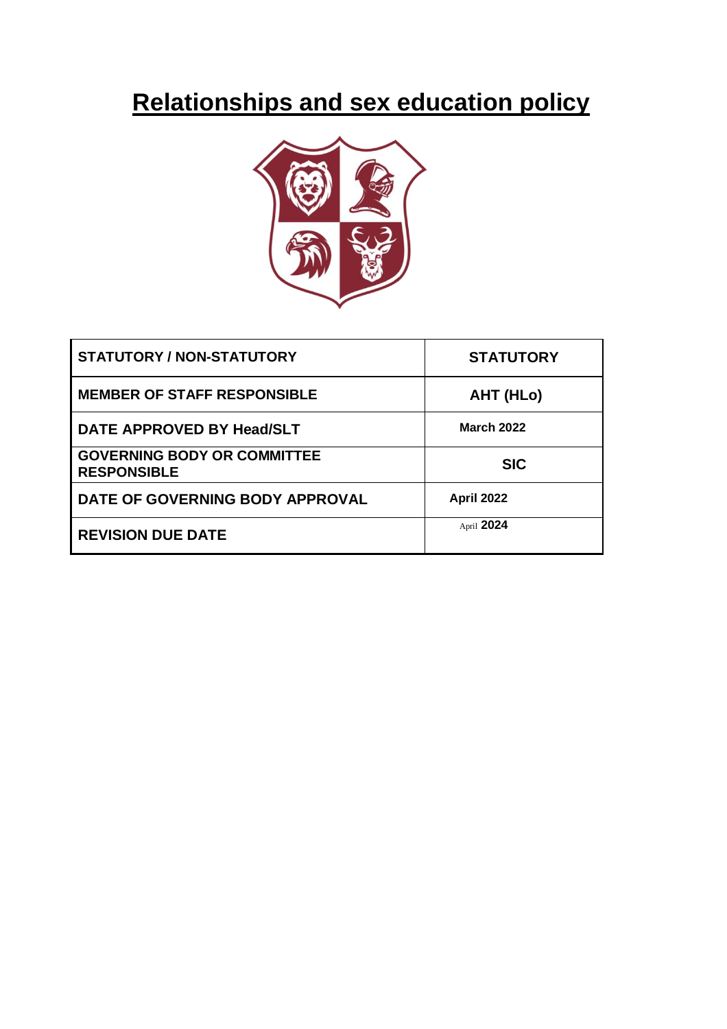# **Relationships and sex education policy**



| <b>STATUTORY / NON-STATUTORY</b>                         | <b>STATUTORY</b>  |
|----------------------------------------------------------|-------------------|
| <b>MEMBER OF STAFF RESPONSIBLE</b>                       | AHT (HLo)         |
| DATE APPROVED BY Head/SLT                                | <b>March 2022</b> |
| <b>GOVERNING BODY OR COMMITTEE</b><br><b>RESPONSIBLE</b> | <b>SIC</b>        |
| DATE OF GOVERNING BODY APPROVAL                          | <b>April 2022</b> |
| <b>REVISION DUE DATE</b>                                 | April 2024        |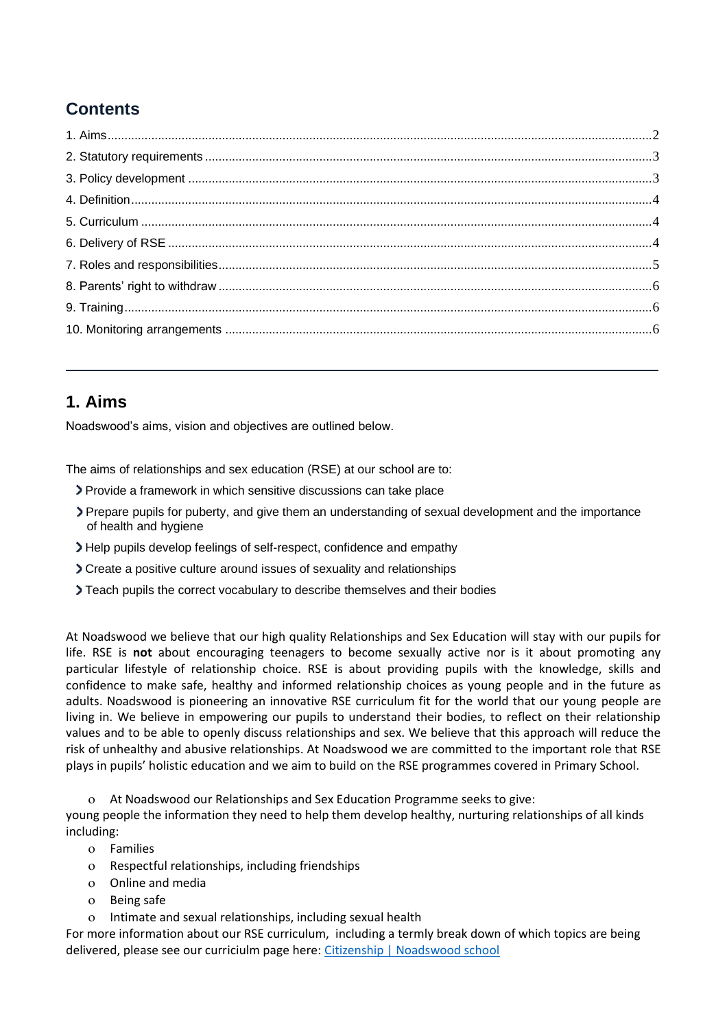# <span id="page-1-0"></span>**Contents**

## **1. Aims**

Noadswood's aims, vision and objectives are outlined below.

The aims of relationships and sex education (RSE) at our school are to:

- Provide a framework in which sensitive discussions can take place
- Prepare pupils for puberty, and give them an understanding of sexual development and the importance of health and hygiene
- Help pupils develop feelings of self-respect, confidence and empathy
- Create a positive culture around issues of sexuality and relationships
- Teach pupils the correct vocabulary to describe themselves and their bodies

At Noadswood we believe that our high quality Relationships and Sex Education will stay with our pupils for life. RSE is **not** about encouraging teenagers to become sexually active nor is it about promoting any particular lifestyle of relationship choice. RSE is about providing pupils with the knowledge, skills and confidence to make safe, healthy and informed relationship choices as young people and in the future as adults. Noadswood is pioneering an innovative RSE curriculum fit for the world that our young people are living in. We believe in empowering our pupils to understand their bodies, to reflect on their relationship values and to be able to openly discuss relationships and sex. We believe that this approach will reduce the risk of unhealthy and abusive relationships. At Noadswood we are committed to the important role that RSE plays in pupils' holistic education and we aim to build on the RSE programmes covered in Primary School.

At Noadswood our Relationships and Sex Education Programme seeks to give:

young people the information they need to help them develop healthy, nurturing relationships of all kinds including:

- Families
- Respectful relationships, including friendships
- Online and media
- Being safe
- Intimate and sexual relationships, including sexual health

For more information about our RSE curriculum, including a termly break down of which topics are being delivered, please see our curriciulm page here: [Citizenship | Noadswood school](https://www.noadswood.hants.sch.uk/curriculum/citizenship)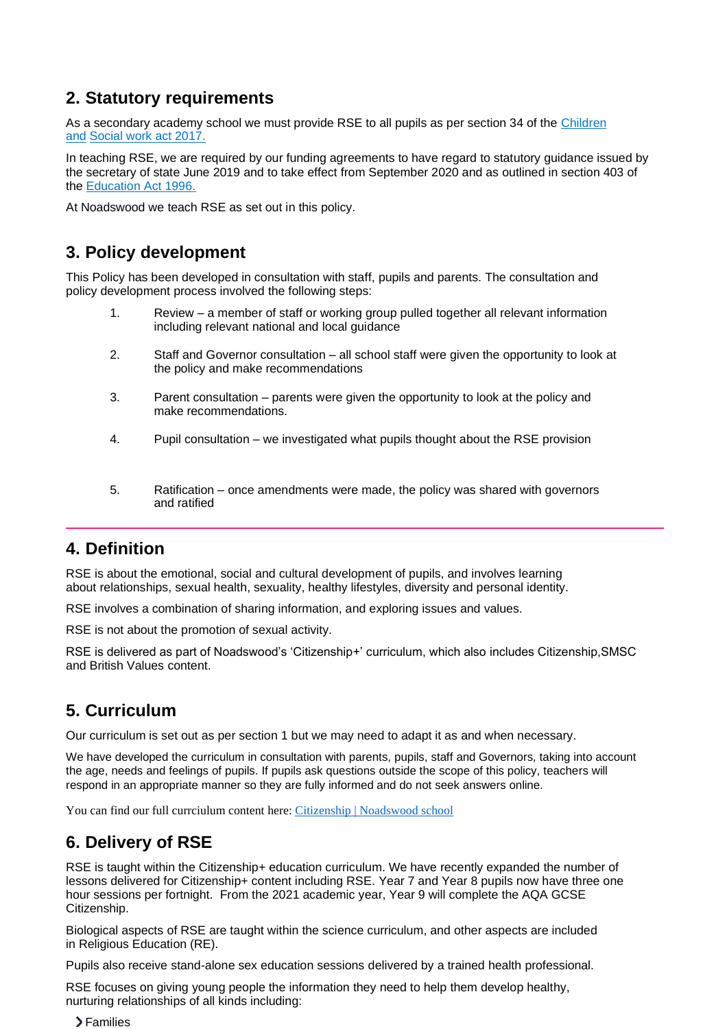## <span id="page-2-0"></span>**2. Statutory requirements**

As a secondary academy school we must provide RSE to all pupils as per section 34 of the [Children](http://www.legislation.gov.uk/ukpga/2017/16/section/34/enacted)  [and](http://www.legislation.gov.uk/ukpga/2017/16/section/34/enacted) [Social work act 2017.](http://www.legislation.gov.uk/ukpga/2017/16/section/34/enacted)

In teaching RSE, we are required by our funding agreements to have regard to statutory guidance issued by the secretary of state June 2019 and to take effect from September 2020 and as outlined in section 403 of the [Education Act 1996.](http://www.legislation.gov.uk/ukpga/1996/56/contents)

At Noadswood we teach RSE as set out in this policy.

## **3. Policy development**

This Policy has been developed in consultation with staff, pupils and parents. The consultation and policy development process involved the following steps:

- 1. Review a member of staff or working group pulled together all relevant information including relevant national and local guidance
- 2. Staff and Governor consultation all school staff were given the opportunity to look at the policy and make recommendations
- 3. Parent consultation parents were given the opportunity to look at the policy and make recommendations.
- 4. Pupil consultation we investigated what pupils thought about the RSE provision
- <span id="page-2-1"></span>5. Ratification – once amendments were made, the policy was shared with governors and ratified

## **4. Definition**

RSE is about the emotional, social and cultural development of pupils, and involves learning about relationships, sexual health, sexuality, healthy lifestyles, diversity and personal identity.

RSE involves a combination of sharing information, and exploring issues and values.

RSE is not about the promotion of sexual activity.

RSE is delivered as part of Noadswood's 'Citizenship+' curriculum, which also includes Citizenship,SMSC and British Values content.

## **5. Curriculum**

Our curriculum is set out as per section 1 but we may need to adapt it as and when necessary.

We have developed the curriculum in consultation with parents, pupils, staff and Governors, taking into account the age, needs and feelings of pupils. If pupils ask questions outside the scope of this policy, teachers will respond in an appropriate manner so they are fully informed and do not seek answers online.

You can find our full currciulum content here[: Citizenship | Noadswood school](https://www.noadswood.hants.sch.uk/curriculum/citizenship)

## **6. Delivery of RSE**

RSE is taught within the Citizenship+ education curriculum. We have recently expanded the number of lessons delivered for Citizenship+ content including RSE. Year 7 and Year 8 pupils now have three one hour sessions per fortnight. From the 2021 academic year, Year 9 will complete the AQA GCSE Citizenship.

Biological aspects of RSE are taught within the science curriculum, and other aspects are included in Religious Education (RE).

Pupils also receive stand-alone sex education sessions delivered by a trained health professional.

RSE focuses on giving young people the information they need to help them develop healthy, nurturing relationships of all kinds including:

>Families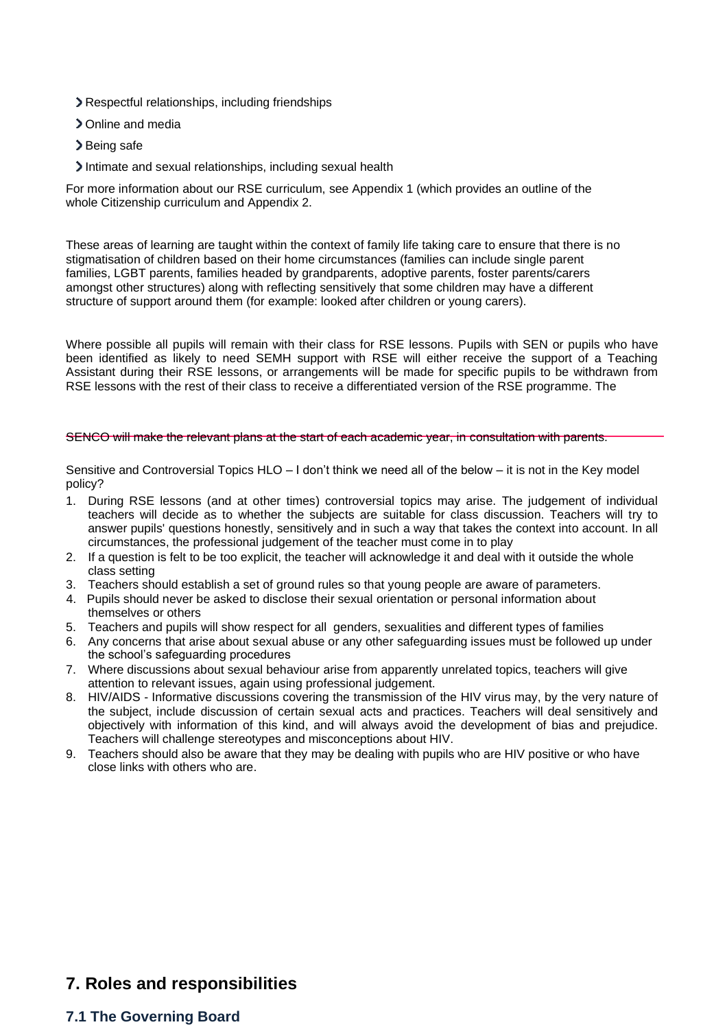- Respectful relationships, including friendships
- > Online and media
- >Being safe
- Intimate and sexual relationships, including sexual health

For more information about our RSE curriculum, see Appendix 1 (which provides an outline of the whole Citizenship curriculum and Appendix 2.

These areas of learning are taught within the context of family life taking care to ensure that there is no stigmatisation of children based on their home circumstances (families can include single parent families, LGBT parents, families headed by grandparents, adoptive parents, foster parents/carers amongst other structures) along with reflecting sensitively that some children may have a different structure of support around them (for example: looked after children or young carers).

Where possible all pupils will remain with their class for RSE lessons. Pupils with SEN or pupils who have been identified as likely to need SEMH support with RSE will either receive the support of a Teaching Assistant during their RSE lessons, or arrangements will be made for specific pupils to be withdrawn from RSE lessons with the rest of their class to receive a differentiated version of the RSE programme. The

#### <span id="page-3-0"></span>SENCO will make the relevant plans at the start of each academic year, in consultation with parents.

Sensitive and Controversial Topics HLO – I don't think we need all of the below – it is not in the Key model policy?

- 1. During RSE lessons (and at other times) controversial topics may arise. The judgement of individual teachers will decide as to whether the subjects are suitable for class discussion. Teachers will try to answer pupils' questions honestly, sensitively and in such a way that takes the context into account. In all circumstances, the professional judgement of the teacher must come in to play
- 2. If a question is felt to be too explicit, the teacher will acknowledge it and deal with it outside the whole class setting
- 3. Teachers should establish a set of ground rules so that young people are aware of parameters.
- 4. Pupils should never be asked to disclose their sexual orientation or personal information about themselves or others
- 5. Teachers and pupils will show respect for all genders, sexualities and different types of families
- 6. Any concerns that arise about sexual abuse or any other safeguarding issues must be followed up under the school's safeguarding procedures
- 7. Where discussions about sexual behaviour arise from apparently unrelated topics, teachers will give attention to relevant issues, again using professional judgement.
- 8. HIV/AIDS Informative discussions covering the transmission of the HIV virus may, by the very nature of the subject, include discussion of certain sexual acts and practices. Teachers will deal sensitively and objectively with information of this kind, and will always avoid the development of bias and prejudice. Teachers will challenge stereotypes and misconceptions about HIV.
- 9. Teachers should also be aware that they may be dealing with pupils who are HIV positive or who have close links with others who are.

### **7. Roles and responsibilities**

#### **7.1 The Governing Board**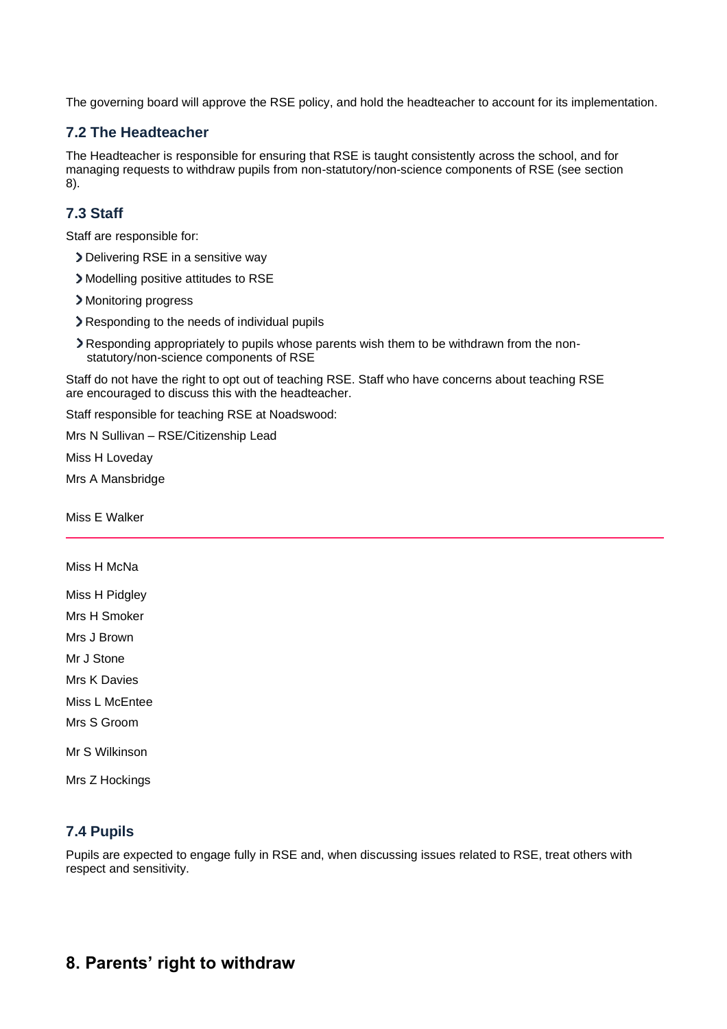The governing board will approve the RSE policy, and hold the headteacher to account for its implementation.

#### **7.2 The Headteacher**

The Headteacher is responsible for ensuring that RSE is taught consistently across the school, and for managing requests to withdraw pupils from non-statutory/non-science components of RSE (see section 8).

## **7.3 Staff**

Staff are responsible for:

- Delivering RSE in a sensitive way
- Modelling positive attitudes to RSE
- > Monitoring progress
- Responding to the needs of individual pupils
- Responding appropriately to pupils whose parents wish them to be withdrawn from the nonstatutory/non-science components of RSE

Staff do not have the right to opt out of teaching RSE. Staff who have concerns about teaching RSE are encouraged to discuss this with the headteacher.

Staff responsible for teaching RSE at Noadswood:

Mrs N Sullivan – RSE/Citizenship Lead

Miss H Loveday

Mrs A Mansbridge

<span id="page-4-0"></span>Miss E Walker

#### Miss H McNa

Miss H Pidgley

Mrs H Smoker

Mrs J Brown

Mr J Stone

Mrs K Davies

Miss L McEntee

Mrs S Groom

Mr S Wilkinson

Mrs Z Hockings

### **7.4 Pupils**

Pupils are expected to engage fully in RSE and, when discussing issues related to RSE, treat others with respect and sensitivity.

## **8. Parents' right to withdraw**